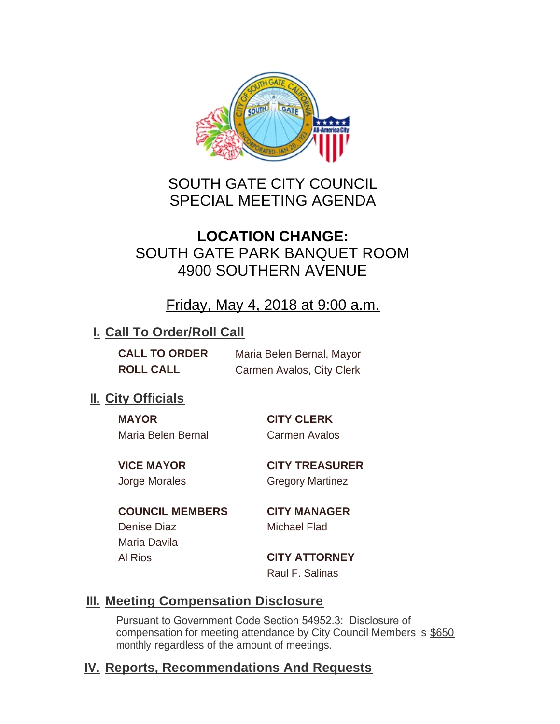

# SOUTH GATE CITY COUNCIL SPECIAL MEETING AGENDA

# **LOCATION CHANGE:** SOUTH GATE PARK BANQUET ROOM 4900 SOUTHERN AVENUE

## Friday, May 4, 2018 at 9:00 a.m.

### **I. Call To Order/Roll Call**

**CALL TO ORDER** Maria Belen Bernal, Mayor **ROLL CALL** Carmen Avalos, City Clerk

## **II.** City Officials

**MAYOR CITY CLERK** Maria Belen Bernal Carmen Avalos

**VICE MAYOR CITY TREASURER** Jorge Morales Gregory Martinez

**COUNCIL MEMBERS CITY MANAGER** Denise Diaz Michael Flad Maria Davila Al Rios **CITY ATTORNEY**

Raul F. Salinas

### **Meeting Compensation Disclosure III.**

Pursuant to Government Code Section 54952.3: Disclosure of compensation for meeting attendance by City Council Members is \$650 monthly regardless of the amount of meetings.

## **Reports, Recommendations And Requests IV.**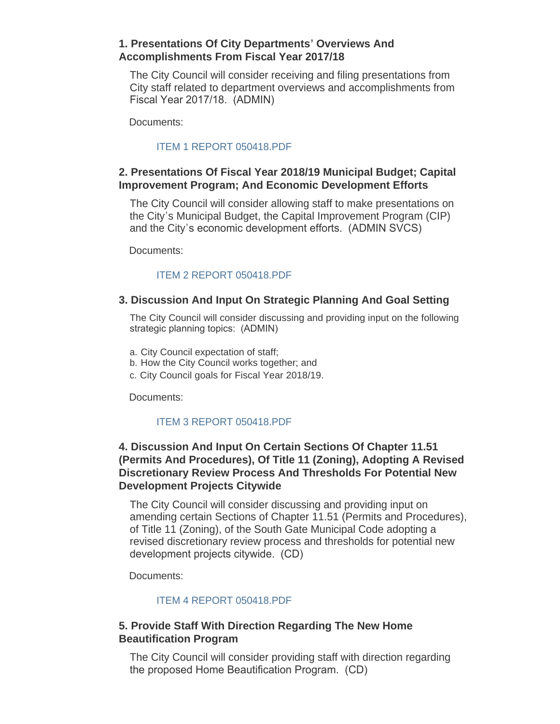#### **1. Presentations Of City Departments' Overviews And Accomplishments From Fiscal Year 2017/18**

The City Council will consider receiving and filing presentations from City staff related to department overviews and accomplishments from Fiscal Year 2017/18. (ADMIN)

Documents:

#### [ITEM 1 REPORT 050418.PDF](http://cityofsouthgate.org/AgendaCenter/ViewFile/Item/5872?fileID=12314)

#### **2. Presentations Of Fiscal Year 2018/19 Municipal Budget; Capital Improvement Program; And Economic Development Efforts**

The City Council will consider allowing staff to make presentations on the City's Municipal Budget, the Capital Improvement Program (CIP) and the City's economic development efforts. (ADMIN SVCS)

Documents:

#### [ITEM 2 REPORT 050418.PDF](http://cityofsouthgate.org/AgendaCenter/ViewFile/Item/5873?fileID=12315)

#### **3. Discussion And Input On Strategic Planning And Goal Setting**

The City Council will consider discussing and providing input on the following strategic planning topics: (ADMIN)

- a. City Council expectation of staff;
- b. How the City Council works together; and
- c. City Council goals for Fiscal Year 2018/19.

Documents:

#### [ITEM 3 REPORT 050418.PDF](http://cityofsouthgate.org/AgendaCenter/ViewFile/Item/5874?fileID=12316)

#### **4. Discussion And Input On Certain Sections Of Chapter 11.51 (Permits And Procedures), Of Title 11 (Zoning), Adopting A Revised Discretionary Review Process And Thresholds For Potential New Development Projects Citywide**

The City Council will consider discussing and providing input on amending certain Sections of Chapter 11.51 (Permits and Procedures), of Title 11 (Zoning), of the South Gate Municipal Code adopting a revised discretionary review process and thresholds for potential new development projects citywide. (CD)

Documents:

#### [ITEM 4 REPORT 050418.PDF](http://cityofsouthgate.org/AgendaCenter/ViewFile/Item/5875?fileID=12317)

#### **5. Provide Staff With Direction Regarding The New Home Beautification Program**

The City Council will consider providing staff with direction regarding the proposed Home Beautification Program. (CD)